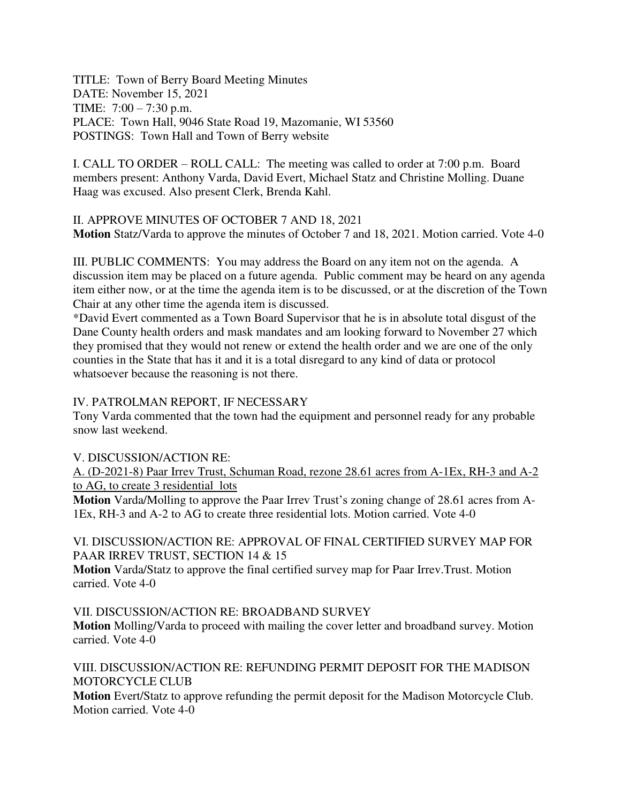TITLE: Town of Berry Board Meeting Minutes DATE: November 15, 2021 TIME: 7:00 – 7:30 p.m. PLACE: Town Hall, 9046 State Road 19, Mazomanie, WI 53560 POSTINGS: Town Hall and Town of Berry website

I. CALL TO ORDER – ROLL CALL: The meeting was called to order at 7:00 p.m. Board members present: Anthony Varda, David Evert, Michael Statz and Christine Molling. Duane Haag was excused. Also present Clerk, Brenda Kahl.

II. APPROVE MINUTES OF OCTOBER 7 AND 18, 2021 **Motion** Statz/Varda to approve the minutes of October 7 and 18, 2021. Motion carried. Vote 4-0

III. PUBLIC COMMENTS: You may address the Board on any item not on the agenda. A discussion item may be placed on a future agenda. Public comment may be heard on any agenda item either now, or at the time the agenda item is to be discussed, or at the discretion of the Town Chair at any other time the agenda item is discussed.

\*David Evert commented as a Town Board Supervisor that he is in absolute total disgust of the Dane County health orders and mask mandates and am looking forward to November 27 which they promised that they would not renew or extend the health order and we are one of the only counties in the State that has it and it is a total disregard to any kind of data or protocol whatsoever because the reasoning is not there.

## IV. PATROLMAN REPORT, IF NECESSARY

Tony Varda commented that the town had the equipment and personnel ready for any probable snow last weekend.

## V. DISCUSSION/ACTION RE:

A. (D-2021-8) Paar Irrev Trust, Schuman Road, rezone 28.61 acres from A-1Ex, RH-3 and A-2 to AG, to create 3 residential lots

**Motion** Varda/Molling to approve the Paar Irrev Trust's zoning change of 28.61 acres from A-1Ex, RH-3 and A-2 to AG to create three residential lots. Motion carried. Vote 4-0

## VI. DISCUSSION/ACTION RE: APPROVAL OF FINAL CERTIFIED SURVEY MAP FOR PAAR IRREV TRUST, SECTION 14 & 15

**Motion** Varda/Statz to approve the final certified survey map for Paar Irrev.Trust. Motion carried. Vote 4-0

VII. DISCUSSION/ACTION RE: BROADBAND SURVEY

**Motion** Molling/Varda to proceed with mailing the cover letter and broadband survey. Motion carried. Vote 4-0

VIII. DISCUSSION/ACTION RE: REFUNDING PERMIT DEPOSIT FOR THE MADISON MOTORCYCLE CLUB

**Motion** Evert/Statz to approve refunding the permit deposit for the Madison Motorcycle Club. Motion carried. Vote 4-0